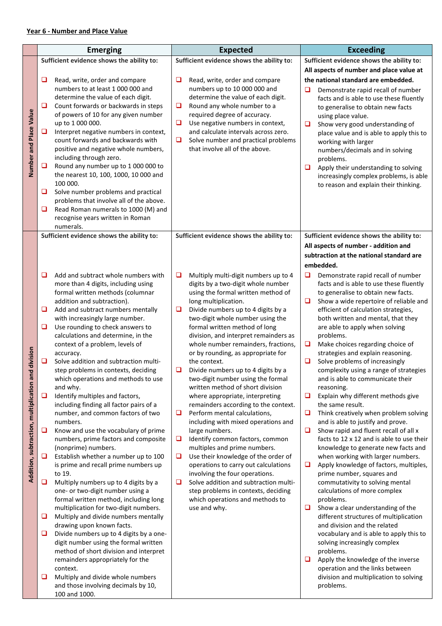## Year 6 - Number and Place Value

|                                                    | <b>Emerging</b> |                                                                                 | <b>Expected</b> |                                                                              |        | <b>Exceeding</b>                                                                 |  |  |
|----------------------------------------------------|-----------------|---------------------------------------------------------------------------------|-----------------|------------------------------------------------------------------------------|--------|----------------------------------------------------------------------------------|--|--|
|                                                    |                 | Sufficient evidence shows the ability to:                                       |                 | Sufficient evidence shows the ability to:                                    |        | Sufficient evidence shows the ability to:                                        |  |  |
|                                                    |                 |                                                                                 |                 |                                                                              |        | All aspects of number and place value at                                         |  |  |
|                                                    | u               | Read, write, order and compare<br>numbers to at least 1 000 000 and             | u               | Read, write, order and compare<br>numbers up to 10 000 000 and               |        | the national standard are embedded.                                              |  |  |
|                                                    |                 | determine the value of each digit.                                              |                 | determine the value of each digit.                                           | ❏      | Demonstrate rapid recall of number<br>facts and is able to use these fluently    |  |  |
|                                                    | $\Box$          | Count forwards or backwards in steps                                            | ❏               | Round any whole number to a                                                  |        | to generalise to obtain new facts                                                |  |  |
|                                                    |                 | of powers of 10 for any given number<br>up to 1 000 000.                        | $\Box$          | required degree of accuracy.<br>Use negative numbers in context,             |        | using place value.                                                               |  |  |
|                                                    | ❏               | Interpret negative numbers in context,                                          |                 | and calculate intervals across zero.                                         | ❏      | Show very good understanding of<br>place value and is able to apply this to      |  |  |
|                                                    |                 | count forwards and backwards with                                               | ❏               | Solve number and practical problems                                          |        | working with larger                                                              |  |  |
| Number and Place Value                             |                 | positive and negative whole numbers,                                            |                 | that involve all of the above.                                               |        | numbers/decimals and in solving                                                  |  |  |
|                                                    | □               | including through zero.<br>Round any number up to 1 000 000 to                  |                 |                                                                              | □      | problems.<br>Apply their understanding to solving                                |  |  |
|                                                    |                 | the nearest 10, 100, 1000, 10 000 and                                           |                 |                                                                              |        | increasingly complex problems, is able                                           |  |  |
|                                                    |                 | 100 000.                                                                        |                 |                                                                              |        | to reason and explain their thinking.                                            |  |  |
|                                                    | ❏               | Solve number problems and practical<br>problems that involve all of the above.  |                 |                                                                              |        |                                                                                  |  |  |
|                                                    | ❏               | Read Roman numerals to 1000 (M) and                                             |                 |                                                                              |        |                                                                                  |  |  |
|                                                    |                 | recognise years written in Roman<br>numerals.                                   |                 |                                                                              |        |                                                                                  |  |  |
|                                                    |                 | Sufficient evidence shows the ability to:                                       |                 | Sufficient evidence shows the ability to:                                    |        | Sufficient evidence shows the ability to:                                        |  |  |
|                                                    |                 |                                                                                 |                 |                                                                              |        | All aspects of number - addition and                                             |  |  |
|                                                    |                 |                                                                                 |                 |                                                                              |        | subtraction at the national standard are                                         |  |  |
|                                                    |                 |                                                                                 |                 |                                                                              |        | embedded.                                                                        |  |  |
|                                                    | ◻               | Add and subtract whole numbers with<br>more than 4 digits, including using      | ❏               | Multiply multi-digit numbers up to 4<br>digits by a two-digit whole number   | ❏      | Demonstrate rapid recall of number<br>facts and is able to use these fluently    |  |  |
|                                                    |                 | formal written methods (columnar                                                |                 | using the formal written method of                                           |        | to generalise to obtain new facts.                                               |  |  |
|                                                    |                 | addition and subtraction).                                                      |                 | long multiplication.                                                         | ⊔      | Show a wide repertoire of reliable and                                           |  |  |
|                                                    | □               | Add and subtract numbers mentally<br>with increasingly large number.            | $\Box$          | Divide numbers up to 4 digits by a<br>two-digit whole number using the       |        | efficient of calculation strategies,<br>both written and mental, that they       |  |  |
|                                                    | $\Box$          | Use rounding to check answers to                                                |                 | formal written method of long                                                |        | are able to apply when solving                                                   |  |  |
|                                                    |                 | calculations and determine, in the                                              |                 | division, and interpret remainders as<br>whole number remainders, fractions, | $\Box$ | problems.                                                                        |  |  |
|                                                    |                 | context of a problem, levels of<br>accuracy.                                    |                 | or by rounding, as appropriate for                                           |        | Make choices regarding choice of<br>strategies and explain reasoning.            |  |  |
|                                                    | ❏               | Solve addition and subtraction multi-                                           |                 | the context.                                                                 | ❏      | Solve problems of increasingly                                                   |  |  |
|                                                    |                 | step problems in contexts, deciding<br>which operations and methods to use      | ❏               | Divide numbers up to 4 digits by a<br>two-digit number using the formal      |        | complexity using a range of strategies<br>and is able to communicate their       |  |  |
| Addition, subtraction, multiplication and division |                 | and why.                                                                        |                 | written method of short division                                             |        | reasoning.                                                                       |  |  |
|                                                    | u               | Identify multiples and factors,                                                 |                 | where appropriate, interpreting                                              | ❏      | Explain why different methods give                                               |  |  |
|                                                    |                 | including finding all factor pairs of a<br>number, and common factors of two    | ❏               | remainders according to the context.<br>Perform mental calculations,         | ⊔      | the same result.<br>Think creatively when problem solving                        |  |  |
|                                                    |                 | numbers.                                                                        |                 | including with mixed operations and                                          |        | and is able to justify and prove.                                                |  |  |
|                                                    | ❏               | Know and use the vocabulary of prime                                            |                 | large numbers.                                                               | ❏      | Show rapid and fluent recall of all x                                            |  |  |
|                                                    |                 | numbers, prime factors and composite<br>(nonprime) numbers.                     | $\Box$          | Identify common factors, common<br>multiples and prime numbers.              |        | facts to 12 x 12 and is able to use their<br>knowledge to generate new facts and |  |  |
|                                                    | Q               | Establish whether a number up to 100                                            | $\Box$          | Use their knowledge of the order of                                          |        | when working with larger numbers.                                                |  |  |
|                                                    |                 | is prime and recall prime numbers up                                            |                 | operations to carry out calculations                                         | □      | Apply knowledge of factors, multiples,                                           |  |  |
|                                                    | □               | to 19.<br>Multiply numbers up to 4 digits by a                                  | $\Box$          | involving the four operations.<br>Solve addition and subtraction multi-      |        | prime number, squares and<br>commutativity to solving mental                     |  |  |
|                                                    |                 | one- or two-digit number using a                                                |                 | step problems in contexts, deciding                                          |        | calculations of more complex                                                     |  |  |
|                                                    |                 | formal written method, including long                                           |                 | which operations and methods to                                              |        | problems.                                                                        |  |  |
|                                                    | ❏               | multiplication for two-digit numbers.<br>Multiply and divide numbers mentally   |                 | use and why.                                                                 | ⊔      | Show a clear understanding of the<br>different structures of multiplication      |  |  |
|                                                    |                 | drawing upon known facts.                                                       |                 |                                                                              |        | and division and the related                                                     |  |  |
|                                                    | ❏               | Divide numbers up to 4 digits by a one-                                         |                 |                                                                              |        | vocabulary and is able to apply this to                                          |  |  |
|                                                    |                 | digit number using the formal written<br>method of short division and interpret |                 |                                                                              |        | solving increasingly complex<br>problems.                                        |  |  |
|                                                    |                 | remainders appropriately for the                                                |                 |                                                                              | ⊔      | Apply the knowledge of the inverse                                               |  |  |
|                                                    |                 | context.                                                                        |                 |                                                                              |        | operation and the links between                                                  |  |  |
|                                                    | u               | Multiply and divide whole numbers<br>and those involving decimals by 10,        |                 |                                                                              |        | division and multiplication to solving<br>problems.                              |  |  |
|                                                    |                 | 100 and 1000.                                                                   |                 |                                                                              |        |                                                                                  |  |  |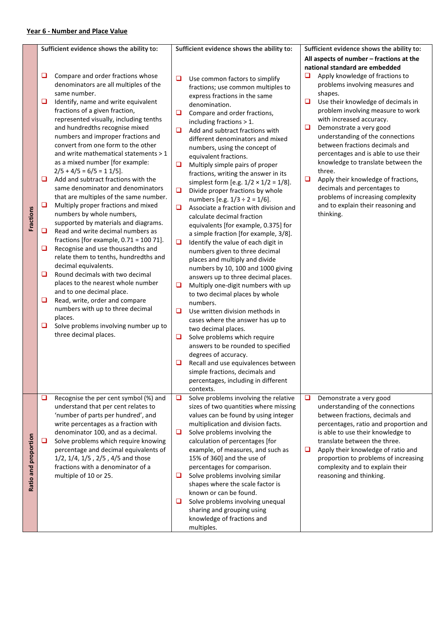| Fractions            | ⊔<br>❏<br>O.<br>❏<br>□<br>❏<br>❏<br>❏ | Sufficient evidence shows the ability to:<br>Compare and order fractions whose<br>denominators are all multiples of the<br>same number.<br>Identify, name and write equivalent<br>fractions of a given fraction,<br>represented visually, including tenths<br>and hundredths recognise mixed<br>numbers and improper fractions and<br>convert from one form to the other<br>and write mathematical statements > 1<br>as a mixed number [for example:<br>$2/5 + 4/5 = 6/5 = 11/5$ .<br>Add and subtract fractions with the<br>same denominator and denominators<br>that are multiples of the same number.<br>Multiply proper fractions and mixed<br>numbers by whole numbers,<br>supported by materials and diagrams.<br>Read and write decimal numbers as<br>fractions [for example, $0.71 = 10071$ ].<br>Recognise and use thousandths and<br>relate them to tenths, hundredths and<br>decimal equivalents.<br>Round decimals with two decimal<br>places to the nearest whole number<br>and to one decimal place.<br>Read, write, order and compare<br>numbers with up to three decimal<br>places. | ❏<br>❏<br>$\Box$<br>$\Box$<br>$\Box$<br>$\Box$<br>$\Box$<br>$\Box$<br>□ | Sufficient evidence shows the ability to:<br>Use common factors to simplify<br>fractions; use common multiples to<br>express fractions in the same<br>denomination.<br>Compare and order fractions,<br>including fractions $> 1$ .<br>Add and subtract fractions with<br>different denominators and mixed<br>numbers, using the concept of<br>equivalent fractions.<br>Multiply simple pairs of proper<br>fractions, writing the answer in its<br>simplest form [e.g. $1/2 \times 1/2 = 1/8$ ].<br>Divide proper fractions by whole<br>numbers [e.g. $1/3 \div 2 = 1/6$ ].<br>Associate a fraction with division and<br>calculate decimal fraction<br>equivalents [for example, 0.375] for<br>a simple fraction [for example, 3/8].<br>Identify the value of each digit in<br>numbers given to three decimal<br>places and multiply and divide<br>numbers by 10, 100 and 1000 giving<br>answers up to three decimal places.<br>Multiply one-digit numbers with up<br>to two decimal places by whole<br>numbers.<br>Use written division methods in<br>cases where the answer has up to | u<br>$\Box$<br>❏<br>$\Box$ | Sufficient evidence shows the ability to:<br>All aspects of number – fractions at the<br>national standard are embedded<br>Apply knowledge of fractions to<br>problems involving measures and<br>shapes.<br>Use their knowledge of decimals in<br>problem involving measure to work<br>with increased accuracy.<br>Demonstrate a very good<br>understanding of the connections<br>between fractions decimals and<br>percentages and is able to use their<br>knowledge to translate between the<br>three.<br>Apply their knowledge of fractions,<br>decimals and percentages to<br>problems of increasing complexity<br>and to explain their reasoning and<br>thinking. |
|----------------------|---------------------------------------|-----------------------------------------------------------------------------------------------------------------------------------------------------------------------------------------------------------------------------------------------------------------------------------------------------------------------------------------------------------------------------------------------------------------------------------------------------------------------------------------------------------------------------------------------------------------------------------------------------------------------------------------------------------------------------------------------------------------------------------------------------------------------------------------------------------------------------------------------------------------------------------------------------------------------------------------------------------------------------------------------------------------------------------------------------------------------------------------------------|-------------------------------------------------------------------------|----------------------------------------------------------------------------------------------------------------------------------------------------------------------------------------------------------------------------------------------------------------------------------------------------------------------------------------------------------------------------------------------------------------------------------------------------------------------------------------------------------------------------------------------------------------------------------------------------------------------------------------------------------------------------------------------------------------------------------------------------------------------------------------------------------------------------------------------------------------------------------------------------------------------------------------------------------------------------------------------------------------------------------------------------------------------------------------|----------------------------|------------------------------------------------------------------------------------------------------------------------------------------------------------------------------------------------------------------------------------------------------------------------------------------------------------------------------------------------------------------------------------------------------------------------------------------------------------------------------------------------------------------------------------------------------------------------------------------------------------------------------------------------------------------------|
| Ratio and proportion | ❏<br>$\Box$<br>⊔                      | Solve problems involving number up to<br>three decimal places.<br>Recognise the per cent symbol (%) and<br>understand that per cent relates to<br>'number of parts per hundred', and<br>write percentages as a fraction with<br>denominator 100, and as a decimal.<br>Solve problems which require knowing<br>percentage and decimal equivalents of<br>1/2, 1/4, 1/5, 2/5, 4/5 and those<br>fractions with a denominator of a<br>multiple of 10 or 25.                                                                                                                                                                                                                                                                                                                                                                                                                                                                                                                                                                                                                                              | ❏<br>u<br>$\Box$<br>$\Box$<br>⊔<br>□                                    | two decimal places.<br>Solve problems which require<br>answers to be rounded to specified<br>degrees of accuracy.<br>Recall and use equivalences between<br>simple fractions, decimals and<br>percentages, including in different<br>contexts.<br>Solve problems involving the relative<br>sizes of two quantities where missing<br>values can be found by using integer<br>multiplication and division facts.<br>Solve problems involving the<br>calculation of percentages [for<br>example, of measures, and such as<br>15% of 360] and the use of<br>percentages for comparison.<br>Solve problems involving similar<br>shapes where the scale factor is<br>known or can be found.<br>Solve problems involving unequal<br>sharing and grouping using<br>knowledge of fractions and<br>multiples.                                                                                                                                                                                                                                                                                    | $\Box$<br>□                | Demonstrate a very good<br>understanding of the connections<br>between fractions, decimals and<br>percentages, ratio and proportion and<br>is able to use their knowledge to<br>translate between the three.<br>Apply their knowledge of ratio and<br>proportion to problems of increasing<br>complexity and to explain their<br>reasoning and thinking.                                                                                                                                                                                                                                                                                                               |